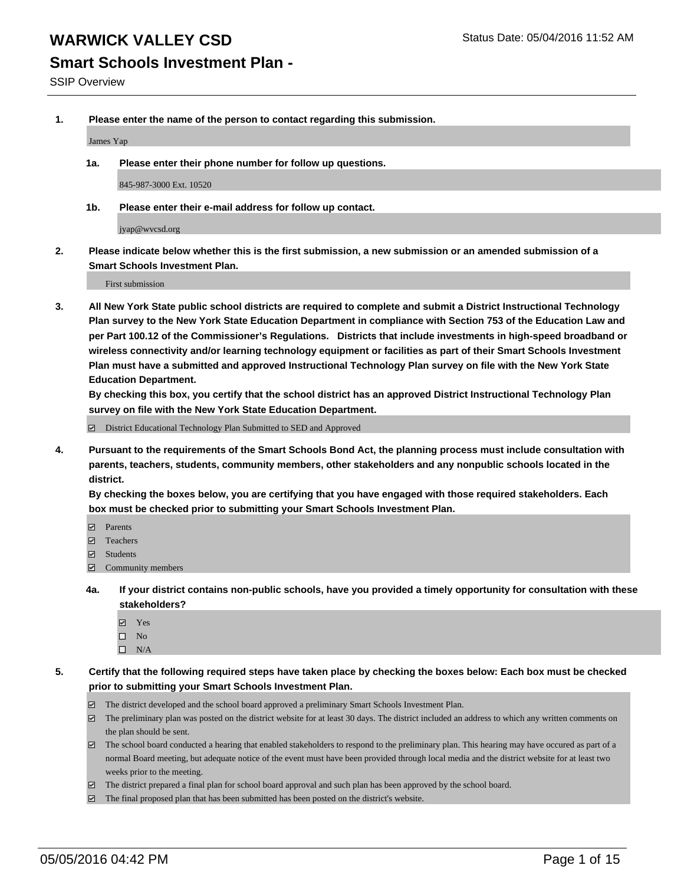### **Smart Schools Investment Plan -**

SSIP Overview

**1. Please enter the name of the person to contact regarding this submission.**

James Yap

**1a. Please enter their phone number for follow up questions.**

845-987-3000 Ext. 10520

**1b. Please enter their e-mail address for follow up contact.**

jyap@wvcsd.org

**2. Please indicate below whether this is the first submission, a new submission or an amended submission of a Smart Schools Investment Plan.**

First submission

**3. All New York State public school districts are required to complete and submit a District Instructional Technology Plan survey to the New York State Education Department in compliance with Section 753 of the Education Law and per Part 100.12 of the Commissioner's Regulations. Districts that include investments in high-speed broadband or wireless connectivity and/or learning technology equipment or facilities as part of their Smart Schools Investment Plan must have a submitted and approved Instructional Technology Plan survey on file with the New York State Education Department.** 

**By checking this box, you certify that the school district has an approved District Instructional Technology Plan survey on file with the New York State Education Department.**

District Educational Technology Plan Submitted to SED and Approved

**4. Pursuant to the requirements of the Smart Schools Bond Act, the planning process must include consultation with parents, teachers, students, community members, other stakeholders and any nonpublic schools located in the district.** 

**By checking the boxes below, you are certifying that you have engaged with those required stakeholders. Each box must be checked prior to submitting your Smart Schools Investment Plan.**

- **Parents**
- □ Teachers
- Students
- $\boxdot$  Community members
- **4a. If your district contains non-public schools, have you provided a timely opportunity for consultation with these stakeholders?**
	- Yes
	- $\square$  No
	- $\Box$  N/A
- **5. Certify that the following required steps have taken place by checking the boxes below: Each box must be checked prior to submitting your Smart Schools Investment Plan.**
	- The district developed and the school board approved a preliminary Smart Schools Investment Plan.
	- The preliminary plan was posted on the district website for at least 30 days. The district included an address to which any written comments on the plan should be sent.
	- $\Box$  The school board conducted a hearing that enabled stakeholders to respond to the preliminary plan. This hearing may have occured as part of a normal Board meeting, but adequate notice of the event must have been provided through local media and the district website for at least two weeks prior to the meeting.
	- The district prepared a final plan for school board approval and such plan has been approved by the school board.
	- The final proposed plan that has been submitted has been posted on the district's website.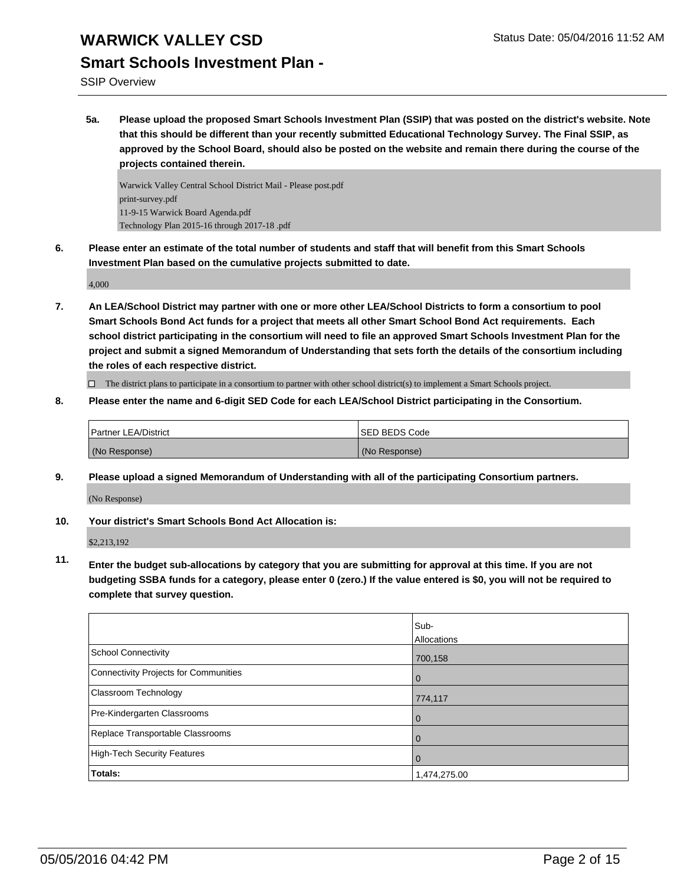## **Smart Schools Investment Plan -**

SSIP Overview

**5a. Please upload the proposed Smart Schools Investment Plan (SSIP) that was posted on the district's website. Note that this should be different than your recently submitted Educational Technology Survey. The Final SSIP, as approved by the School Board, should also be posted on the website and remain there during the course of the projects contained therein.**

Warwick Valley Central School District Mail - Please post.pdf print-survey.pdf 11-9-15 Warwick Board Agenda.pdf Technology Plan 2015-16 through 2017-18 .pdf

**6. Please enter an estimate of the total number of students and staff that will benefit from this Smart Schools Investment Plan based on the cumulative projects submitted to date.**

4,000

**7. An LEA/School District may partner with one or more other LEA/School Districts to form a consortium to pool Smart Schools Bond Act funds for a project that meets all other Smart School Bond Act requirements. Each school district participating in the consortium will need to file an approved Smart Schools Investment Plan for the project and submit a signed Memorandum of Understanding that sets forth the details of the consortium including the roles of each respective district.**

 $\Box$  The district plans to participate in a consortium to partner with other school district(s) to implement a Smart Schools project.

**8. Please enter the name and 6-digit SED Code for each LEA/School District participating in the Consortium.**

| Partner LEA/District | <b>ISED BEDS Code</b> |
|----------------------|-----------------------|
| (No Response)        | (No Response)         |

**9. Please upload a signed Memorandum of Understanding with all of the participating Consortium partners.** (No Response)

**10. Your district's Smart Schools Bond Act Allocation is:**

\$2,213,192

**11. Enter the budget sub-allocations by category that you are submitting for approval at this time. If you are not budgeting SSBA funds for a category, please enter 0 (zero.) If the value entered is \$0, you will not be required to complete that survey question.**

|                                       | Sub-         |
|---------------------------------------|--------------|
|                                       | Allocations  |
| <b>School Connectivity</b>            | 700,158      |
| Connectivity Projects for Communities | $\Omega$     |
| Classroom Technology                  | 774,117      |
| Pre-Kindergarten Classrooms           | $\Omega$     |
| Replace Transportable Classrooms      |              |
| <b>High-Tech Security Features</b>    | 0            |
| Totals:                               | 1,474,275.00 |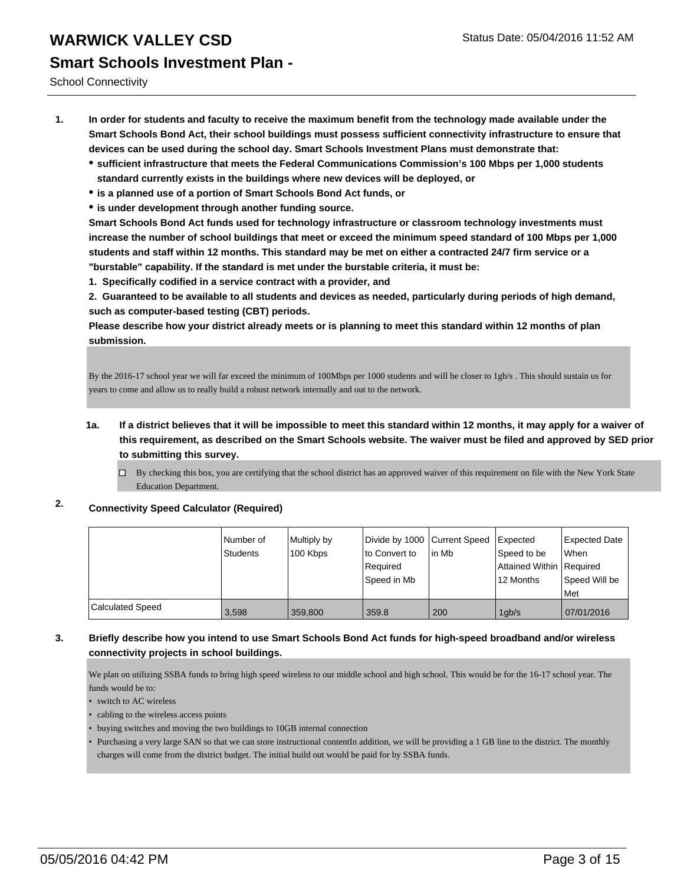School Connectivity

- **1. In order for students and faculty to receive the maximum benefit from the technology made available under the Smart Schools Bond Act, their school buildings must possess sufficient connectivity infrastructure to ensure that devices can be used during the school day. Smart Schools Investment Plans must demonstrate that:**
	- **sufficient infrastructure that meets the Federal Communications Commission's 100 Mbps per 1,000 students standard currently exists in the buildings where new devices will be deployed, or**
	- **is a planned use of a portion of Smart Schools Bond Act funds, or**
	- **is under development through another funding source.**

**Smart Schools Bond Act funds used for technology infrastructure or classroom technology investments must increase the number of school buildings that meet or exceed the minimum speed standard of 100 Mbps per 1,000 students and staff within 12 months. This standard may be met on either a contracted 24/7 firm service or a "burstable" capability. If the standard is met under the burstable criteria, it must be:**

**1. Specifically codified in a service contract with a provider, and**

**2. Guaranteed to be available to all students and devices as needed, particularly during periods of high demand, such as computer-based testing (CBT) periods.**

**Please describe how your district already meets or is planning to meet this standard within 12 months of plan submission.**

By the 2016-17 school year we will far exceed the minimum of 100Mbps per 1000 students and will be closer to 1gb/s . This should sustain us for years to come and allow us to really build a robust network internally and out to the network.

- **1a. If a district believes that it will be impossible to meet this standard within 12 months, it may apply for a waiver of this requirement, as described on the Smart Schools website. The waiver must be filed and approved by SED prior to submitting this survey.**
	- By checking this box, you are certifying that the school district has an approved waiver of this requirement on file with the New York State Education Department.

### **2. Connectivity Speed Calculator (Required)**

|                         | l Number of<br>Students | Multiply by<br>100 Kbps | Divide by 1000 Current Speed<br>to Convert to<br>Required<br>Speed in Mb | lin Mb | <b>Expected</b><br>Speed to be<br>Attained Within   Required<br>12 Months | <b>Expected Date</b><br>When<br>Speed Will be<br>Met |
|-------------------------|-------------------------|-------------------------|--------------------------------------------------------------------------|--------|---------------------------------------------------------------------------|------------------------------------------------------|
| <b>Calculated Speed</b> | 3,598                   | 359,800                 | 359.8                                                                    | 200    | 1qb/s                                                                     | 07/01/2016                                           |

#### **3. Briefly describe how you intend to use Smart Schools Bond Act funds for high-speed broadband and/or wireless connectivity projects in school buildings.**

We plan on utilizing SSBA funds to bring high speed wireless to our middle school and high school. This would be for the 16-17 school year. The funds would be to:

• switch to AC wireless

- cabling to the wireless access points
- buying switches and moving the two buildings to 10GB internal connection
- Purchasing a very large SAN so that we can store instructional contentIn addition, we will be providing a 1 GB line to the district. The monthly charges will come from the district budget. The initial build out would be paid for by SSBA funds.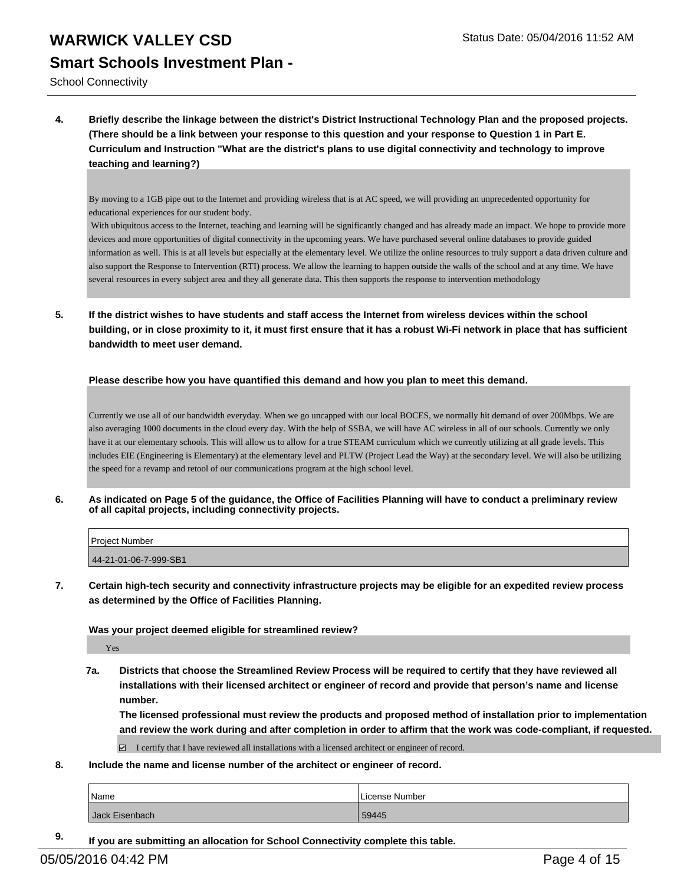School Connectivity

**4. Briefly describe the linkage between the district's District Instructional Technology Plan and the proposed projects. (There should be a link between your response to this question and your response to Question 1 in Part E. Curriculum and Instruction "What are the district's plans to use digital connectivity and technology to improve teaching and learning?)**

By moving to a 1GB pipe out to the Internet and providing wireless that is at AC speed, we will providing an unprecedented opportunity for educational experiences for our student body.

 With ubiquitous access to the Internet, teaching and learning will be significantly changed and has already made an impact. We hope to provide more devices and more opportunities of digital connectivity in the upcoming years. We have purchased several online databases to provide guided information as well. This is at all levels but especially at the elementary level. We utilize the online resources to truly support a data driven culture and also support the Response to Intervention (RTI) process. We allow the learning to happen outside the walls of the school and at any time. We have several resources in every subject area and they all generate data. This then supports the response to intervention methodology

**5. If the district wishes to have students and staff access the Internet from wireless devices within the school building, or in close proximity to it, it must first ensure that it has a robust Wi-Fi network in place that has sufficient bandwidth to meet user demand.**

**Please describe how you have quantified this demand and how you plan to meet this demand.**

Currently we use all of our bandwidth everyday. When we go uncapped with our local BOCES, we normally hit demand of over 200Mbps. We are also averaging 1000 documents in the cloud every day. With the help of SSBA, we will have AC wireless in all of our schools. Currently we only have it at our elementary schools. This will allow us to allow for a true STEAM curriculum which we currently utilizing at all grade levels. This includes EIE (Engineering is Elementary) at the elementary level and PLTW (Project Lead the Way) at the secondary level. We will also be utilizing the speed for a revamp and retool of our communications program at the high school level.

**6. As indicated on Page 5 of the guidance, the Office of Facilities Planning will have to conduct a preliminary review of all capital projects, including connectivity projects.**

| Project Number        |  |
|-----------------------|--|
| 44-21-01-06-7-999-SB1 |  |

**7. Certain high-tech security and connectivity infrastructure projects may be eligible for an expedited review process as determined by the Office of Facilities Planning.**

**Was your project deemed eligible for streamlined review?**

Yes

**7a. Districts that choose the Streamlined Review Process will be required to certify that they have reviewed all installations with their licensed architect or engineer of record and provide that person's name and license number.**

**The licensed professional must review the products and proposed method of installation prior to implementation and review the work during and after completion in order to affirm that the work was code-compliant, if requested.**

I certify that I have reviewed all installations with a licensed architect or engineer of record.

**8. Include the name and license number of the architect or engineer of record.**

| Name           | License Number |
|----------------|----------------|
| Jack Eisenbach | 59445          |

**9. If you are submitting an allocation for School Connectivity complete this table.**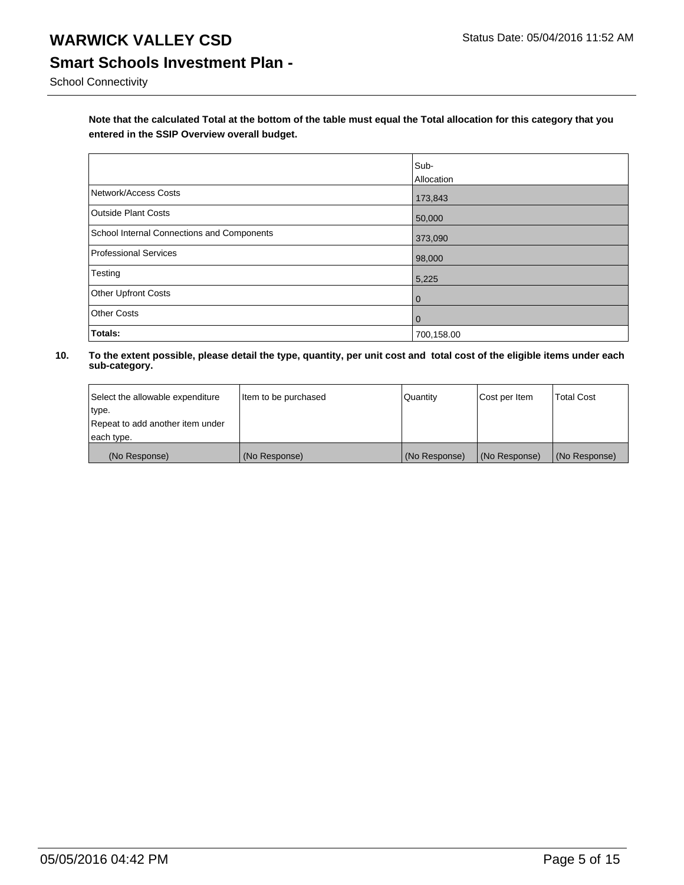School Connectivity

**Note that the calculated Total at the bottom of the table must equal the Total allocation for this category that you entered in the SSIP Overview overall budget.** 

|                                                   | Sub-<br>Allocation |
|---------------------------------------------------|--------------------|
| Network/Access Costs                              | 173,843            |
| <b>Outside Plant Costs</b>                        | 50,000             |
| <b>School Internal Connections and Components</b> | 373,090            |
| Professional Services                             | 98,000             |
| Testing                                           | 5,225              |
| <b>Other Upfront Costs</b>                        | $\overline{0}$     |
| <b>Other Costs</b>                                | $\overline{0}$     |
| Totals:                                           | 700,158.00         |

| Select the allowable expenditure | litem to be purchased | Quantity      | Cost per Item | <b>Total Cost</b> |
|----------------------------------|-----------------------|---------------|---------------|-------------------|
| type.                            |                       |               |               |                   |
| Repeat to add another item under |                       |               |               |                   |
| each type.                       |                       |               |               |                   |
| (No Response)                    | (No Response)         | (No Response) | (No Response) | (No Response)     |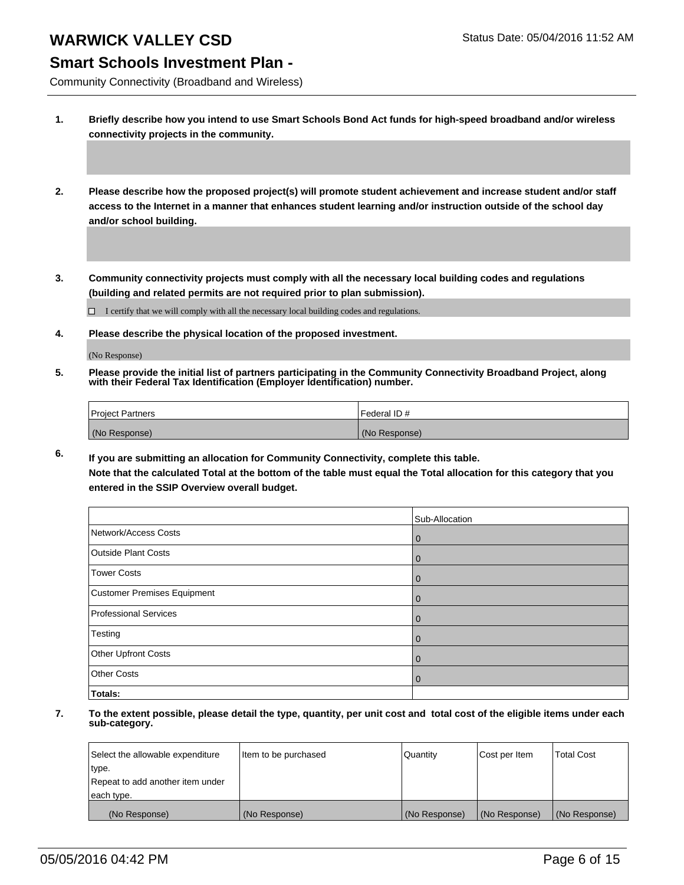### **Smart Schools Investment Plan -**

Community Connectivity (Broadband and Wireless)

**1. Briefly describe how you intend to use Smart Schools Bond Act funds for high-speed broadband and/or wireless connectivity projects in the community.**

**2. Please describe how the proposed project(s) will promote student achievement and increase student and/or staff access to the Internet in a manner that enhances student learning and/or instruction outside of the school day and/or school building.**

**3. Community connectivity projects must comply with all the necessary local building codes and regulations (building and related permits are not required prior to plan submission).**

 $\Box$  I certify that we will comply with all the necessary local building codes and regulations.

**4. Please describe the physical location of the proposed investment.**

(No Response)

**5. Please provide the initial list of partners participating in the Community Connectivity Broadband Project, along with their Federal Tax Identification (Employer Identification) number.**

| <b>Project Partners</b> | Federal ID#   |
|-------------------------|---------------|
| (No Response)           | (No Response) |

**6. If you are submitting an allocation for Community Connectivity, complete this table. Note that the calculated Total at the bottom of the table must equal the Total allocation for this category that you entered in the SSIP Overview overall budget.**

|                             | Sub-Allocation |
|-----------------------------|----------------|
| Network/Access Costs        | 0              |
| <b>Outside Plant Costs</b>  | 0              |
| <b>Tower Costs</b>          | $\mathbf 0$    |
| Customer Premises Equipment | 0              |
| Professional Services       | 0              |
| Testing                     | 0              |
| Other Upfront Costs         |                |
| <b>Other Costs</b>          |                |
| Totals:                     |                |

| Select the allowable expenditure | Item to be purchased | Quantity      | Cost per Item | <b>Total Cost</b> |
|----------------------------------|----------------------|---------------|---------------|-------------------|
| type.                            |                      |               |               |                   |
| Repeat to add another item under |                      |               |               |                   |
| each type.                       |                      |               |               |                   |
| (No Response)                    | (No Response)        | (No Response) | (No Response) | (No Response)     |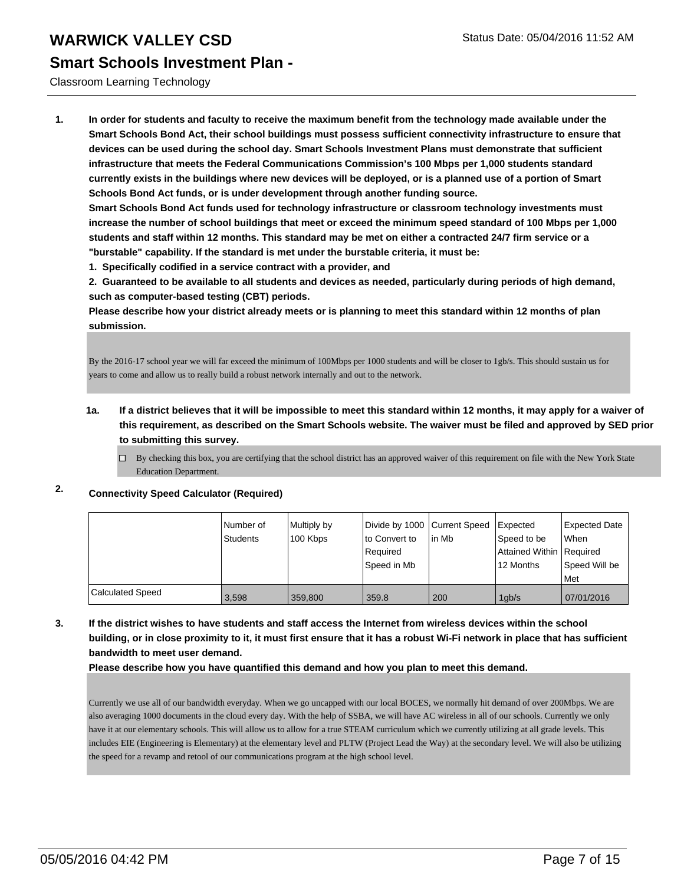#### Classroom Learning Technology

**1. In order for students and faculty to receive the maximum benefit from the technology made available under the Smart Schools Bond Act, their school buildings must possess sufficient connectivity infrastructure to ensure that devices can be used during the school day. Smart Schools Investment Plans must demonstrate that sufficient infrastructure that meets the Federal Communications Commission's 100 Mbps per 1,000 students standard currently exists in the buildings where new devices will be deployed, or is a planned use of a portion of Smart Schools Bond Act funds, or is under development through another funding source.**

**Smart Schools Bond Act funds used for technology infrastructure or classroom technology investments must increase the number of school buildings that meet or exceed the minimum speed standard of 100 Mbps per 1,000 students and staff within 12 months. This standard may be met on either a contracted 24/7 firm service or a "burstable" capability. If the standard is met under the burstable criteria, it must be:**

**1. Specifically codified in a service contract with a provider, and**

**2. Guaranteed to be available to all students and devices as needed, particularly during periods of high demand, such as computer-based testing (CBT) periods.**

**Please describe how your district already meets or is planning to meet this standard within 12 months of plan submission.**

By the 2016-17 school year we will far exceed the minimum of 100Mbps per 1000 students and will be closer to 1gb/s. This should sustain us for years to come and allow us to really build a robust network internally and out to the network.

- **1a. If a district believes that it will be impossible to meet this standard within 12 months, it may apply for a waiver of this requirement, as described on the Smart Schools website. The waiver must be filed and approved by SED prior to submitting this survey.**
	- $\Box$  By checking this box, you are certifying that the school district has an approved waiver of this requirement on file with the New York State Education Department.

### **2. Connectivity Speed Calculator (Required)**

|                         | l Number of<br><b>Students</b> | Multiply by<br>100 Kbps | Divide by 1000 Current Speed<br>to Convert to<br>l Reauired<br>Speed in Mb | lin Mb | <b>I</b> Expected<br>Speed to be<br>Attained Within   Required<br>12 Months | <b>Expected Date</b><br><b>When</b><br>l Speed Will be |
|-------------------------|--------------------------------|-------------------------|----------------------------------------------------------------------------|--------|-----------------------------------------------------------------------------|--------------------------------------------------------|
|                         |                                |                         |                                                                            |        |                                                                             | <b>Met</b>                                             |
| <b>Calculated Speed</b> | 3,598                          | 359,800                 | 359.8                                                                      | 200    | 1qb/s                                                                       | 07/01/2016                                             |

**3. If the district wishes to have students and staff access the Internet from wireless devices within the school building, or in close proximity to it, it must first ensure that it has a robust Wi-Fi network in place that has sufficient bandwidth to meet user demand.**

**Please describe how you have quantified this demand and how you plan to meet this demand.**

Currently we use all of our bandwidth everyday. When we go uncapped with our local BOCES, we normally hit demand of over 200Mbps. We are also averaging 1000 documents in the cloud every day. With the help of SSBA, we will have AC wireless in all of our schools. Currently we only have it at our elementary schools. This will allow us to allow for a true STEAM curriculum which we currently utilizing at all grade levels. This includes EIE (Engineering is Elementary) at the elementary level and PLTW (Project Lead the Way) at the secondary level. We will also be utilizing the speed for a revamp and retool of our communications program at the high school level.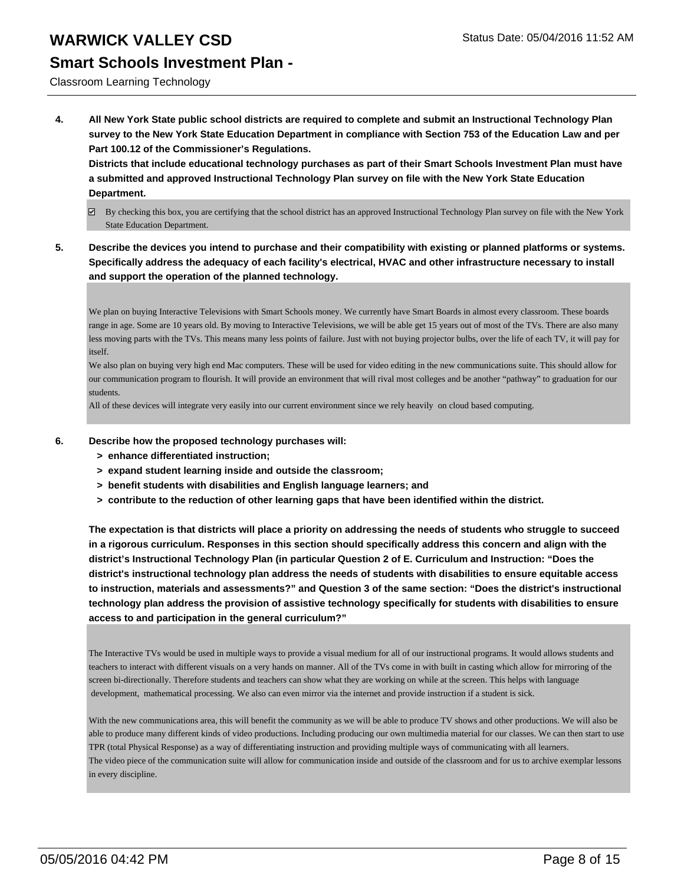### **Smart Schools Investment Plan -**

#### Classroom Learning Technology

**4. All New York State public school districts are required to complete and submit an Instructional Technology Plan survey to the New York State Education Department in compliance with Section 753 of the Education Law and per Part 100.12 of the Commissioner's Regulations.**

**Districts that include educational technology purchases as part of their Smart Schools Investment Plan must have a submitted and approved Instructional Technology Plan survey on file with the New York State Education Department.**

- $\boxtimes$  By checking this box, you are certifying that the school district has an approved Instructional Technology Plan survey on file with the New York State Education Department.
- **5. Describe the devices you intend to purchase and their compatibility with existing or planned platforms or systems. Specifically address the adequacy of each facility's electrical, HVAC and other infrastructure necessary to install and support the operation of the planned technology.**

We plan on buying Interactive Televisions with Smart Schools money. We currently have Smart Boards in almost every classroom. These boards range in age. Some are 10 years old. By moving to Interactive Televisions, we will be able get 15 years out of most of the TVs. There are also many less moving parts with the TVs. This means many less points of failure. Just with not buying projector bulbs, over the life of each TV, it will pay for itself.

We also plan on buying very high end Mac computers. These will be used for video editing in the new communications suite. This should allow for our communication program to flourish. It will provide an environment that will rival most colleges and be another "pathway" to graduation for our students.

All of these devices will integrate very easily into our current environment since we rely heavily on cloud based computing.

- **6. Describe how the proposed technology purchases will:**
	- **> enhance differentiated instruction;**
	- **> expand student learning inside and outside the classroom;**
	- **> benefit students with disabilities and English language learners; and**
	- **> contribute to the reduction of other learning gaps that have been identified within the district.**

**The expectation is that districts will place a priority on addressing the needs of students who struggle to succeed in a rigorous curriculum. Responses in this section should specifically address this concern and align with the district's Instructional Technology Plan (in particular Question 2 of E. Curriculum and Instruction: "Does the district's instructional technology plan address the needs of students with disabilities to ensure equitable access to instruction, materials and assessments?" and Question 3 of the same section: "Does the district's instructional technology plan address the provision of assistive technology specifically for students with disabilities to ensure access to and participation in the general curriculum?"**

The Interactive TVs would be used in multiple ways to provide a visual medium for all of our instructional programs. It would allows students and teachers to interact with different visuals on a very hands on manner. All of the TVs come in with built in casting which allow for mirroring of the screen bi-directionally. Therefore students and teachers can show what they are working on while at the screen. This helps with language development, mathematical processing. We also can even mirror via the internet and provide instruction if a student is sick.

With the new communications area, this will benefit the community as we will be able to produce TV shows and other productions. We will also be able to produce many different kinds of video productions. Including producing our own multimedia material for our classes. We can then start to use TPR (total Physical Response) as a way of differentiating instruction and providing multiple ways of communicating with all learners. The video piece of the communication suite will allow for communication inside and outside of the classroom and for us to archive exemplar lessons in every discipline.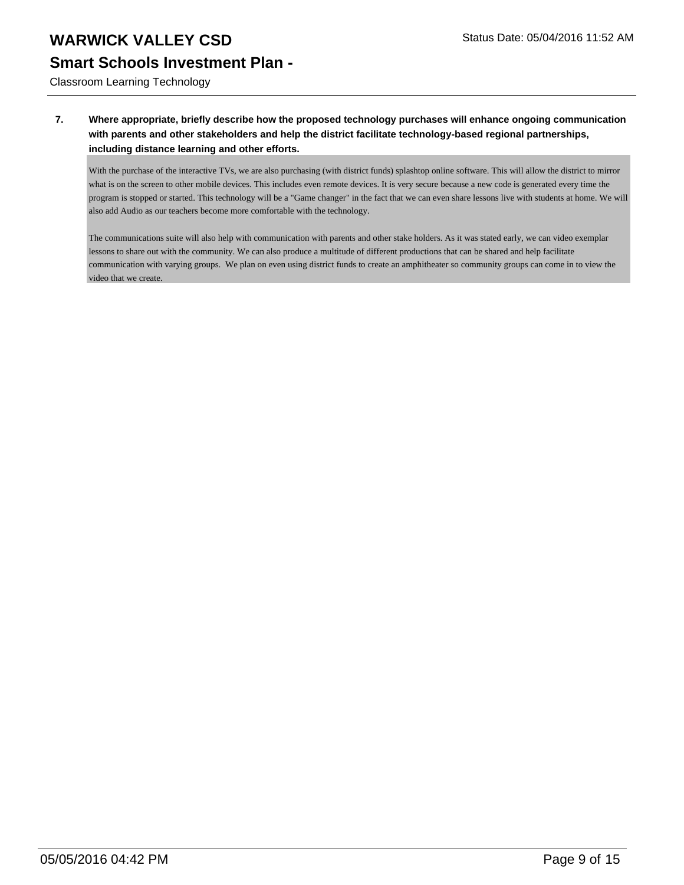Classroom Learning Technology

#### **7. Where appropriate, briefly describe how the proposed technology purchases will enhance ongoing communication with parents and other stakeholders and help the district facilitate technology-based regional partnerships, including distance learning and other efforts.**

With the purchase of the interactive TVs, we are also purchasing (with district funds) splashtop online software. This will allow the district to mirror what is on the screen to other mobile devices. This includes even remote devices. It is very secure because a new code is generated every time the program is stopped or started. This technology will be a "Game changer" in the fact that we can even share lessons live with students at home. We will also add Audio as our teachers become more comfortable with the technology.

The communications suite will also help with communication with parents and other stake holders. As it was stated early, we can video exemplar lessons to share out with the community. We can also produce a multitude of different productions that can be shared and help facilitate communication with varying groups. We plan on even using district funds to create an amphitheater so community groups can come in to view the video that we create.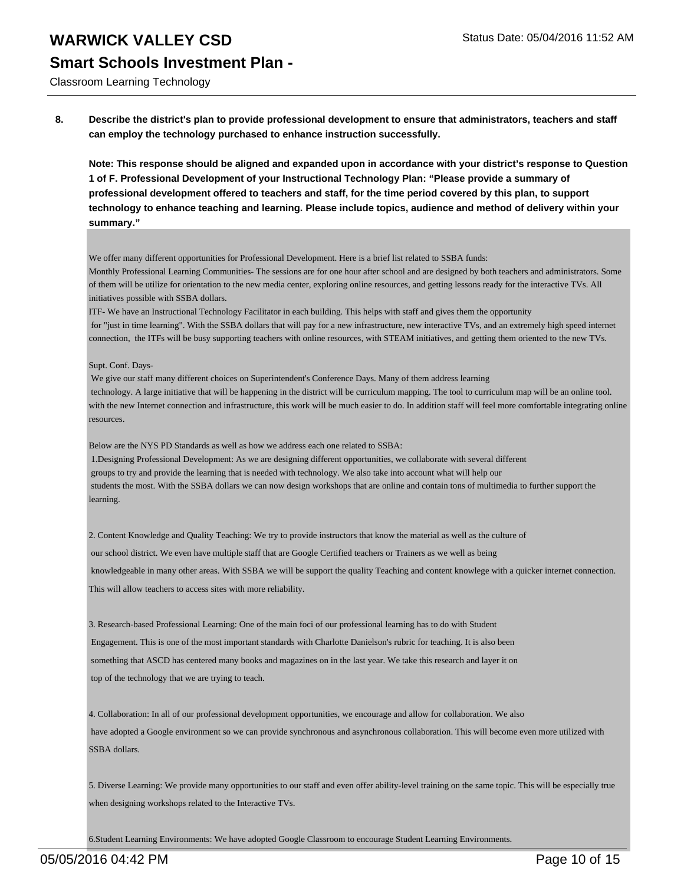Classroom Learning Technology

**8. Describe the district's plan to provide professional development to ensure that administrators, teachers and staff can employ the technology purchased to enhance instruction successfully.**

**Note: This response should be aligned and expanded upon in accordance with your district's response to Question 1 of F. Professional Development of your Instructional Technology Plan: "Please provide a summary of professional development offered to teachers and staff, for the time period covered by this plan, to support technology to enhance teaching and learning. Please include topics, audience and method of delivery within your summary."**

We offer many different opportunities for Professional Development. Here is a brief list related to SSBA funds:

Monthly Professional Learning Communities- The sessions are for one hour after school and are designed by both teachers and administrators. Some of them will be utilize for orientation to the new media center, exploring online resources, and getting lessons ready for the interactive TVs. All initiatives possible with SSBA dollars.

ITF- We have an Instructional Technology Facilitator in each building. This helps with staff and gives them the opportunity for "just in time learning". With the SSBA dollars that will pay for a new infrastructure, new interactive TVs, and an extremely high speed internet connection, the ITFs will be busy supporting teachers with online resources, with STEAM initiatives, and getting them oriented to the new TVs.

Supt. Conf. Days-

 We give our staff many different choices on Superintendent's Conference Days. Many of them address learning technology. A large initiative that will be happening in the district will be curriculum mapping. The tool to curriculum map will be an online tool. with the new Internet connection and infrastructure, this work will be much easier to do. In addition staff will feel more comfortable integrating online resources.

Below are the NYS PD Standards as well as how we address each one related to SSBA:

 1.Designing Professional Development: As we are designing different opportunities, we collaborate with several different groups to try and provide the learning that is needed with technology. We also take into account what will help our students the most. With the SSBA dollars we can now design workshops that are online and contain tons of multimedia to further support the learning.

2. Content Knowledge and Quality Teaching: We try to provide instructors that know the material as well as the culture of

our school district. We even have multiple staff that are Google Certified teachers or Trainers as we well as being

 knowledgeable in many other areas. With SSBA we will be support the quality Teaching and content knowlege with a quicker internet connection. This will allow teachers to access sites with more reliability.

3. Research-based Professional Learning: One of the main foci of our professional learning has to do with Student Engagement. This is one of the most important standards with Charlotte Danielson's rubric for teaching. It is also been something that ASCD has centered many books and magazines on in the last year. We take this research and layer it on top of the technology that we are trying to teach.

4. Collaboration: In all of our professional development opportunities, we encourage and allow for collaboration. We also have adopted a Google environment so we can provide synchronous and asynchronous collaboration. This will become even more utilized with SSBA dollars.

5. Diverse Learning: We provide many opportunities to our staff and even offer ability-level training on the same topic. This will be especially true when designing workshops related to the Interactive TVs.

6.Student Learning Environments: We have adopted Google Classroom to encourage Student Learning Environments.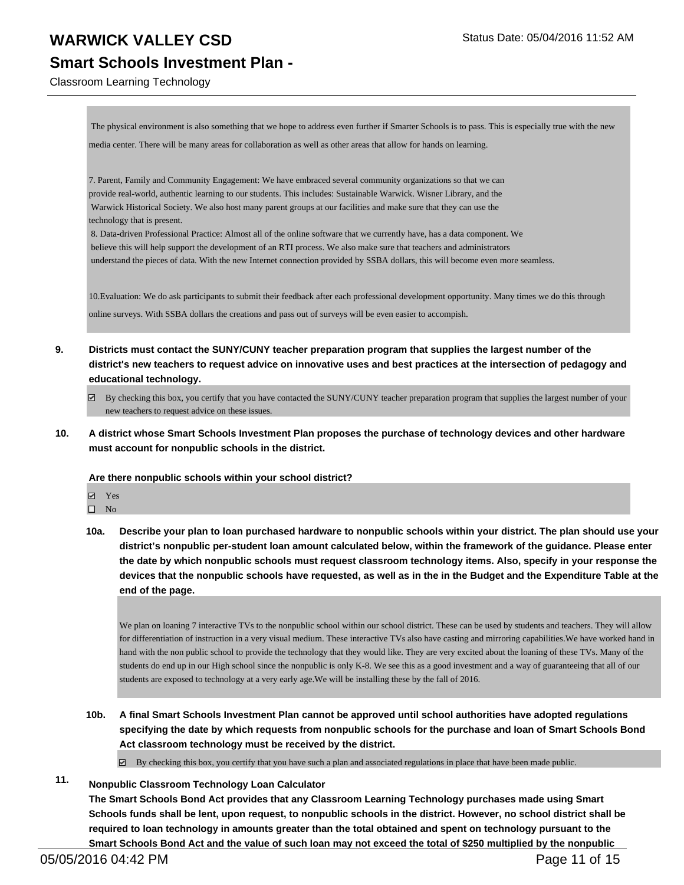Classroom Learning Technology

 The physical environment is also something that we hope to address even further if Smarter Schools is to pass. This is especially true with the new media center. There will be many areas for collaboration as well as other areas that allow for hands on learning.

7. Parent, Family and Community Engagement: We have embraced several community organizations so that we can provide real-world, authentic learning to our students. This includes: Sustainable Warwick. Wisner Library, and the Warwick Historical Society. We also host many parent groups at our facilities and make sure that they can use the technology that is present.

 8. Data-driven Professional Practice: Almost all of the online software that we currently have, has a data component. We believe this will help support the development of an RTI process. We also make sure that teachers and administrators understand the pieces of data. With the new Internet connection provided by SSBA dollars, this will become even more seamless.

10.Evaluation: We do ask participants to submit their feedback after each professional development opportunity. Many times we do this through online surveys. With SSBA dollars the creations and pass out of surveys will be even easier to accompish.

**9. Districts must contact the SUNY/CUNY teacher preparation program that supplies the largest number of the district's new teachers to request advice on innovative uses and best practices at the intersection of pedagogy and educational technology.**

 $\boxtimes$  By checking this box, you certify that you have contacted the SUNY/CUNY teacher preparation program that supplies the largest number of your new teachers to request advice on these issues.

**10. A district whose Smart Schools Investment Plan proposes the purchase of technology devices and other hardware must account for nonpublic schools in the district.**

**Are there nonpublic schools within your school district?**

Yes

- $\square$  No
- **10a. Describe your plan to loan purchased hardware to nonpublic schools within your district. The plan should use your district's nonpublic per-student loan amount calculated below, within the framework of the guidance. Please enter the date by which nonpublic schools must request classroom technology items. Also, specify in your response the devices that the nonpublic schools have requested, as well as in the in the Budget and the Expenditure Table at the end of the page.**

We plan on loaning 7 interactive TVs to the nonpublic school within our school district. These can be used by students and teachers. They will allow for differentiation of instruction in a very visual medium. These interactive TVs also have casting and mirroring capabilities.We have worked hand in hand with the non public school to provide the technology that they would like. They are very excited about the loaning of these TVs. Many of the students do end up in our High school since the nonpublic is only K-8. We see this as a good investment and a way of guaranteeing that all of our students are exposed to technology at a very early age.We will be installing these by the fall of 2016.

**10b. A final Smart Schools Investment Plan cannot be approved until school authorities have adopted regulations specifying the date by which requests from nonpublic schools for the purchase and loan of Smart Schools Bond Act classroom technology must be received by the district.**

 $\boxtimes$  By checking this box, you certify that you have such a plan and associated regulations in place that have been made public.

**11. Nonpublic Classroom Technology Loan Calculator**

**The Smart Schools Bond Act provides that any Classroom Learning Technology purchases made using Smart Schools funds shall be lent, upon request, to nonpublic schools in the district. However, no school district shall be required to loan technology in amounts greater than the total obtained and spent on technology pursuant to the Smart Schools Bond Act and the value of such loan may not exceed the total of \$250 multiplied by the nonpublic**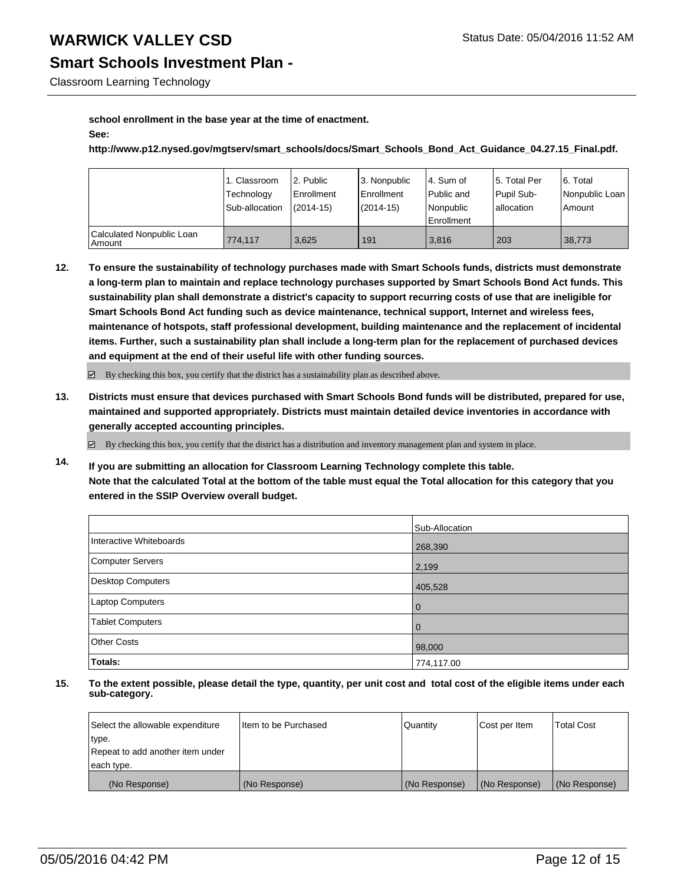## **Smart Schools Investment Plan -**

Classroom Learning Technology

#### **school enrollment in the base year at the time of enactment. See:**

**http://www.p12.nysed.gov/mgtserv/smart\_schools/docs/Smart\_Schools\_Bond\_Act\_Guidance\_04.27.15\_Final.pdf.**

|                                         | Classroom<br>Technology<br>Sub-allocation | 2. Public<br>Enrollment<br>$(2014 - 15)$ | 3. Nonpublic<br>Enrollment<br>$(2014 - 15)$ | l 4. Sum of<br>Public and<br>Nonpublic<br>Enrollment | 15. Total Per<br>Pupil Sub-<br>lallocation | 16. Total<br>Nonpublic Loan<br>l Amount |
|-----------------------------------------|-------------------------------------------|------------------------------------------|---------------------------------------------|------------------------------------------------------|--------------------------------------------|-----------------------------------------|
| Calculated Nonpublic Loan<br>l Amount i | 774.117                                   | 3.625                                    | 191                                         | 3.816                                                | 203                                        | 38.773                                  |

**12. To ensure the sustainability of technology purchases made with Smart Schools funds, districts must demonstrate a long-term plan to maintain and replace technology purchases supported by Smart Schools Bond Act funds. This sustainability plan shall demonstrate a district's capacity to support recurring costs of use that are ineligible for Smart Schools Bond Act funding such as device maintenance, technical support, Internet and wireless fees, maintenance of hotspots, staff professional development, building maintenance and the replacement of incidental items. Further, such a sustainability plan shall include a long-term plan for the replacement of purchased devices and equipment at the end of their useful life with other funding sources.**

 $\boxtimes$  By checking this box, you certify that the district has a sustainability plan as described above.

**13. Districts must ensure that devices purchased with Smart Schools Bond funds will be distributed, prepared for use, maintained and supported appropriately. Districts must maintain detailed device inventories in accordance with generally accepted accounting principles.**

 $\boxtimes$  By checking this box, you certify that the district has a distribution and inventory management plan and system in place.

**14. If you are submitting an allocation for Classroom Learning Technology complete this table. Note that the calculated Total at the bottom of the table must equal the Total allocation for this category that you entered in the SSIP Overview overall budget.**

|                         | Sub-Allocation |
|-------------------------|----------------|
| Interactive Whiteboards | 268,390        |
| <b>Computer Servers</b> | 2,199          |
| Desktop Computers       | 405,528        |
| Laptop Computers        | $\mathbf 0$    |
| <b>Tablet Computers</b> | 0              |
| <b>Other Costs</b>      | 98,000         |
| <b>Totals:</b>          | 774,117.00     |

| Select the allowable expenditure | I Item to be Purchased | Quantity      | Cost per Item | <b>Total Cost</b> |
|----------------------------------|------------------------|---------------|---------------|-------------------|
| type.                            |                        |               |               |                   |
| Repeat to add another item under |                        |               |               |                   |
| each type.                       |                        |               |               |                   |
| (No Response)                    | (No Response)          | (No Response) | (No Response) | (No Response)     |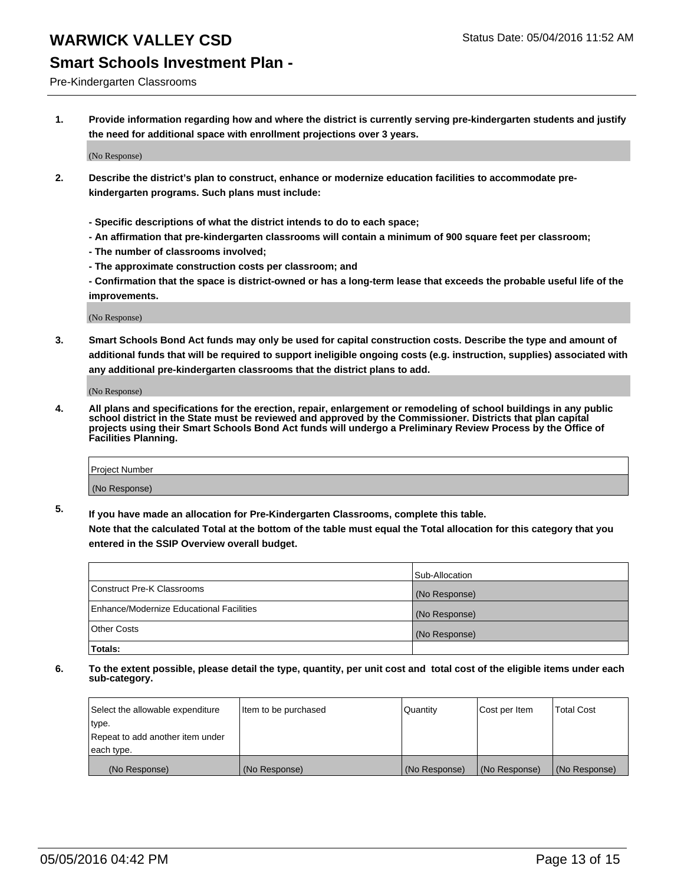## **Smart Schools Investment Plan -**

Pre-Kindergarten Classrooms

**1. Provide information regarding how and where the district is currently serving pre-kindergarten students and justify the need for additional space with enrollment projections over 3 years.**

(No Response)

- **2. Describe the district's plan to construct, enhance or modernize education facilities to accommodate prekindergarten programs. Such plans must include:**
	- **Specific descriptions of what the district intends to do to each space;**
	- **An affirmation that pre-kindergarten classrooms will contain a minimum of 900 square feet per classroom;**
	- **The number of classrooms involved;**
	- **The approximate construction costs per classroom; and**
	- **Confirmation that the space is district-owned or has a long-term lease that exceeds the probable useful life of the improvements.**

(No Response)

**3. Smart Schools Bond Act funds may only be used for capital construction costs. Describe the type and amount of additional funds that will be required to support ineligible ongoing costs (e.g. instruction, supplies) associated with any additional pre-kindergarten classrooms that the district plans to add.**

(No Response)

**4. All plans and specifications for the erection, repair, enlargement or remodeling of school buildings in any public school district in the State must be reviewed and approved by the Commissioner. Districts that plan capital projects using their Smart Schools Bond Act funds will undergo a Preliminary Review Process by the Office of Facilities Planning.**

| Project Number |  |
|----------------|--|
| (No Response)  |  |

**5. If you have made an allocation for Pre-Kindergarten Classrooms, complete this table. Note that the calculated Total at the bottom of the table must equal the Total allocation for this category that you**

**entered in the SSIP Overview overall budget.**

|                                          | Sub-Allocation |
|------------------------------------------|----------------|
| Construct Pre-K Classrooms               | (No Response)  |
| Enhance/Modernize Educational Facilities | (No Response)  |
| Other Costs                              | (No Response)  |
| Totals:                                  |                |

| Select the allowable expenditure | Item to be purchased | Quantity      | Cost per Item | <b>Total Cost</b> |
|----------------------------------|----------------------|---------------|---------------|-------------------|
| type.                            |                      |               |               |                   |
| Repeat to add another item under |                      |               |               |                   |
| each type.                       |                      |               |               |                   |
| (No Response)                    | (No Response)        | (No Response) | (No Response) | (No Response)     |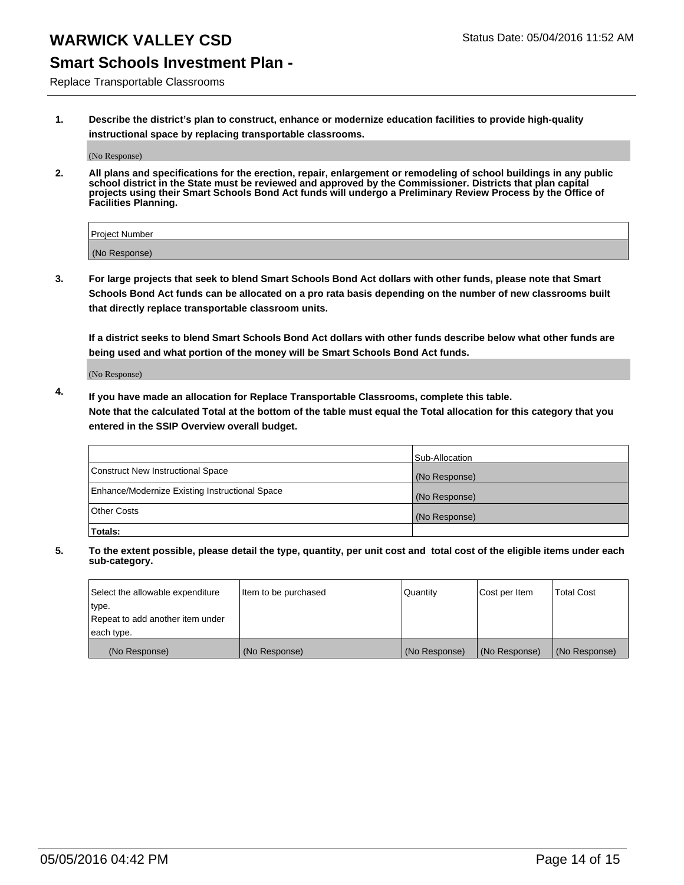## **Smart Schools Investment Plan -**

Replace Transportable Classrooms

**1. Describe the district's plan to construct, enhance or modernize education facilities to provide high-quality instructional space by replacing transportable classrooms.**

(No Response)

**2. All plans and specifications for the erection, repair, enlargement or remodeling of school buildings in any public school district in the State must be reviewed and approved by the Commissioner. Districts that plan capital projects using their Smart Schools Bond Act funds will undergo a Preliminary Review Process by the Office of Facilities Planning.**

| Project Number |  |
|----------------|--|
| (No Response)  |  |

**3. For large projects that seek to blend Smart Schools Bond Act dollars with other funds, please note that Smart Schools Bond Act funds can be allocated on a pro rata basis depending on the number of new classrooms built that directly replace transportable classroom units.**

**If a district seeks to blend Smart Schools Bond Act dollars with other funds describe below what other funds are being used and what portion of the money will be Smart Schools Bond Act funds.**

(No Response)

**4. If you have made an allocation for Replace Transportable Classrooms, complete this table. Note that the calculated Total at the bottom of the table must equal the Total allocation for this category that you entered in the SSIP Overview overall budget.**

|                                                | Sub-Allocation |
|------------------------------------------------|----------------|
| Construct New Instructional Space              | (No Response)  |
| Enhance/Modernize Existing Instructional Space | (No Response)  |
| <b>Other Costs</b>                             | (No Response)  |
| Totals:                                        |                |

| Select the allowable expenditure | Item to be purchased | Quantity      | Cost per Item | <b>Total Cost</b> |
|----------------------------------|----------------------|---------------|---------------|-------------------|
| type.                            |                      |               |               |                   |
| Repeat to add another item under |                      |               |               |                   |
| each type.                       |                      |               |               |                   |
| (No Response)                    | (No Response)        | (No Response) | (No Response) | (No Response)     |